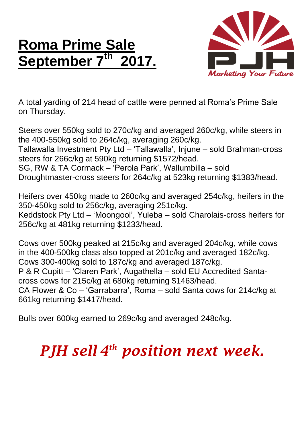## **Roma Prime Sale September 7 th 2017.**



A total yarding of 214 head of cattle were penned at Roma's Prime Sale on Thursday.

Steers over 550kg sold to 270c/kg and averaged 260c/kg, while steers in the 400-550kg sold to 264c/kg, averaging 260c/kg.

Tallawalla Investment Pty Ltd – 'Tallawalla', Injune – sold Brahman-cross steers for 266c/kg at 590kg returning \$1572/head.

SG, RW & TA Cormack – 'Perola Park', Wallumbilla – sold

Droughtmaster-cross steers for 264c/kg at 523kg returning \$1383/head.

Heifers over 450kg made to 260c/kg and averaged 254c/kg, heifers in the 350-450kg sold to 256c/kg, averaging 251c/kg. Keddstock Pty Ltd – 'Moongool', Yuleba – sold Charolais-cross heifers for 256c/kg at 481kg returning \$1233/head.

Cows over 500kg peaked at 215c/kg and averaged 204c/kg, while cows in the 400-500kg class also topped at 201c/kg and averaged 182c/kg. Cows 300-400kg sold to 187c/kg and averaged 187c/kg. P & R Cupitt – 'Claren Park', Augathella – sold EU Accredited Santacross cows for 215c/kg at 680kg returning \$1463/head. CA Flower & Co – 'Garrabarra', Roma – sold Santa cows for 214c/kg at 661kg returning \$1417/head.

Bulls over 600kg earned to 269c/kg and averaged 248c/kg.

## *PJH sell 4 th position next week.*